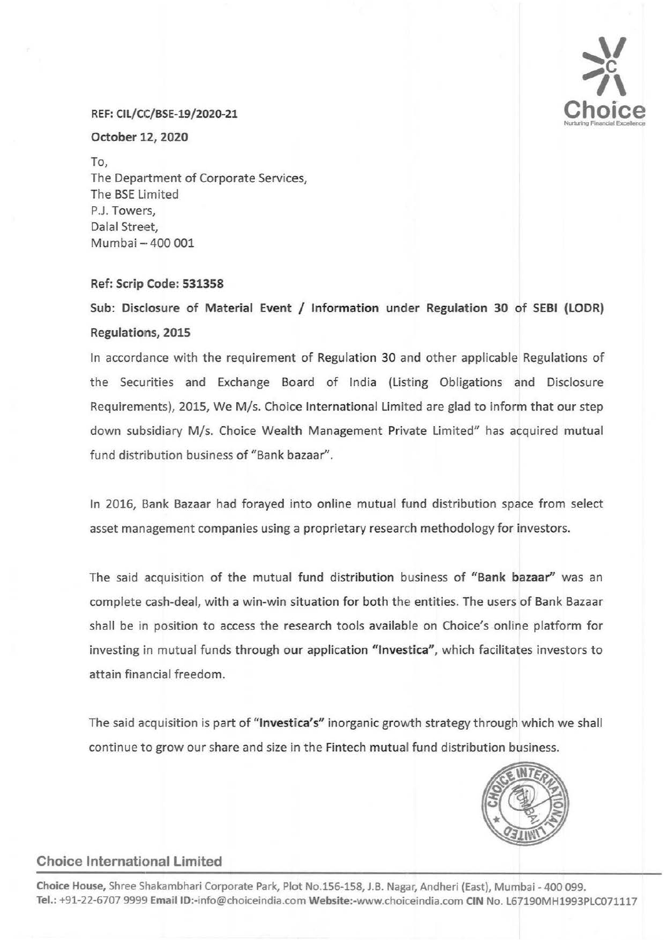

#### REF: CIL/CC/BSE-19/2020-21

### October 12, 2020

To, The Department of Corporate Services, The BSE Limited P.J. Towers, Dalal Street, Mumbai- 400 001

## Ref: Scrip Code: 531358

Sub: Disclosure of Material Event / Information under Regulation 30 of SEBI (LODR) Regulations, 2015

In accordance with the requirement of Regulation 30 and other applicable Regulations of the Securities and Exchange Board of India (Listing Obligations and Disclosure Requirements), 2015, We M/s. Choice International Limited are glad to inform that our step down subsidiary M/s. Choice Wealth Management Private limited" has acquired mutual fund distribution business of "Bank bazaar".

In 2016, Bank Bazaar had forayed into online mutual fund distribution space from select asset management companies using a proprietary research methodology for investors.

The said acquisition of the mutual fund distribution business of "Bank bazaar" was an complete cash-deal, with a win-win situation for both the entities. The users of Bank Bazaar shall be in position to access the research tools available on Choice's online platform for investing in mutual funds through our application "Investica", which facilitates investors to attain financial freedom.

The said acquisition is part of "Investica's" inorganic growth strategy through which we shall continue to grow our share and size in the Fintech mutual fund distribution business.



## Choice International limited

Choice House, Shree Shakambhari Corporate Park, Plot No.156-158, J.B. Nagar, Andheri (East), Mumbai- 400 099. Tel.: +91-22-6707 9999 EmaiiiD:-info@choiceindia.com Website:-www.choiceindia.com CIN No. l67190MH1993PLC071117